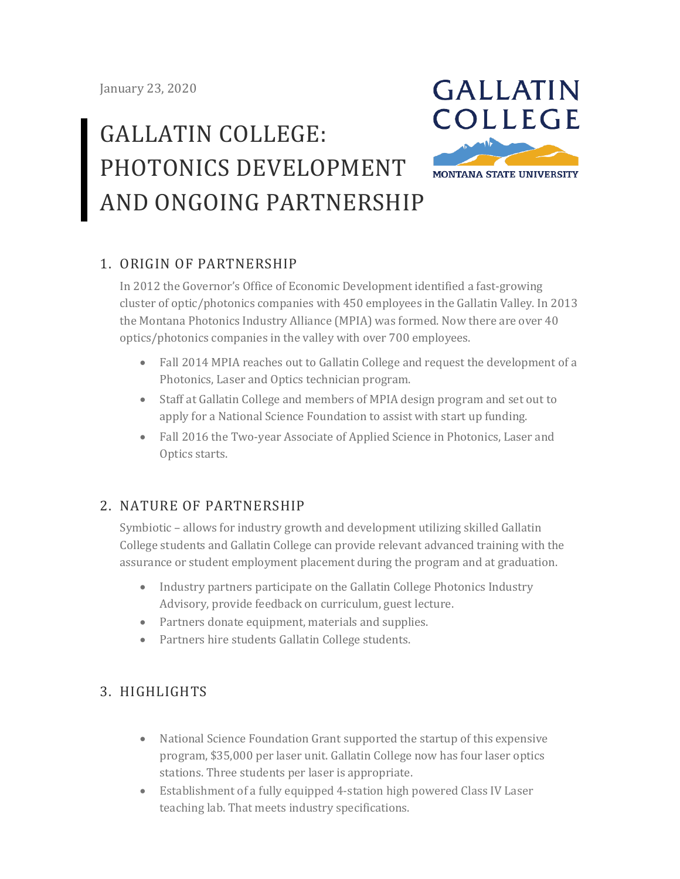# GALLATIN COLLEGE: PHOTONICS DEVELOPMENT AND ONGOING PARTNERSHIP



# 1. ORIGIN OF PARTNERSHIP

In 2012 the Governor's Office of Economic Development identified a fast-growing cluster of optic/photonics companies with 450 employees in the Gallatin Valley. In 2013 the Montana Photonics Industry Alliance (MPIA) was formed. Now there are over 40 optics/photonics companies in the valley with over 700 employees.

- Fall 2014 MPIA reaches out to Gallatin College and request the development of a Photonics, Laser and Optics technician program.
- Staff at Gallatin College and members of MPIA design program and set out to apply for a National Science Foundation to assist with start up funding.
- Fall 2016 the Two-year Associate of Applied Science in Photonics, Laser and Optics starts.

#### 2. NATURE OF PARTNERSHIP

Symbiotic – allows for industry growth and development utilizing skilled Gallatin College students and Gallatin College can provide relevant advanced training with the assurance or student employment placement during the program and at graduation.

- Industry partners participate on the Gallatin College Photonics Industry Advisory, provide feedback on curriculum, guest lecture.
- Partners donate equipment, materials and supplies.
- Partners hire students Gallatin College students.

# 3. HIGHLIGHTS

- National Science Foundation Grant supported the startup of this expensive program, \$35,000 per laser unit. Gallatin College now has four laser optics stations. Three students per laser is appropriate.
- Establishment of a fully equipped 4-station high powered Class IV Laser teaching lab. That meets industry specifications.